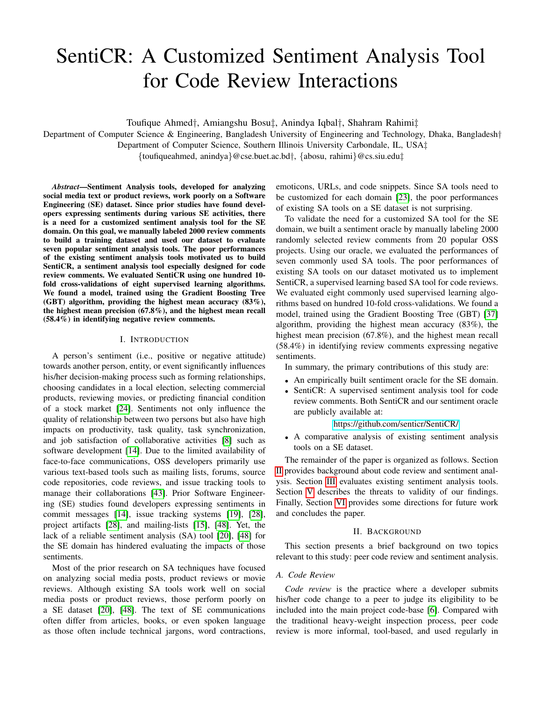# SentiCR: A Customized Sentiment Analysis Tool for Code Review Interactions

Toufique Ahmed†, Amiangshu Bosu‡, Anindya Iqbal†, Shahram Rahimi‡

Department of Computer Science & Engineering, Bangladesh University of Engineering and Technology, Dhaka, Bangladesh†

Department of Computer Science, Southern Illinois University Carbondale, IL, USA‡

{toufiqueahmed, anindya}@cse.buet.ac.bd†, {abosu, rahimi}@cs.siu.edu‡

*Abstract*—Sentiment Analysis tools, developed for analyzing social media text or product reviews, work poorly on a Software Engineering (SE) dataset. Since prior studies have found developers expressing sentiments during various SE activities, there is a need for a customized sentiment analysis tool for the SE domain. On this goal, we manually labeled 2000 review comments to build a training dataset and used our dataset to evaluate seven popular sentiment analysis tools. The poor performances of the existing sentiment analysis tools motivated us to build SentiCR, a sentiment analysis tool especially designed for code review comments. We evaluated SentiCR using one hundred 10 fold cross-validations of eight supervised learning algorithms. We found a model, trained using the Gradient Boosting Tree (GBT) algorithm, providing the highest mean accuracy (83%), the highest mean precision (67.8%), and the highest mean recall (58.4%) in identifying negative review comments.

#### I. INTRODUCTION

A person's sentiment (i.e., positive or negative attitude) towards another person, entity, or event significantly influences his/her decision-making process such as forming relationships, choosing candidates in a local election, selecting commercial products, reviewing movies, or predicting financial condition of a stock market [\[24\]](#page-5-0). Sentiments not only influence the quality of relationship between two persons but also have high impacts on productivity, task quality, task synchronization, and job satisfaction of collaborative activities [\[8\]](#page-5-1) such as software development [\[14\]](#page-5-2). Due to the limited availability of face-to-face communications, OSS developers primarily use various text-based tools such as mailing lists, forums, source code repositories, code reviews, and issue tracking tools to manage their collaborations [\[43\]](#page-5-3). Prior Software Engineering (SE) studies found developers expressing sentiments in commit messages [\[14\]](#page-5-2), issue tracking systems [\[19\]](#page-5-4), [\[28\]](#page-5-5), project artifacts [\[28\]](#page-5-5), and mailing-lists [\[15\]](#page-5-6), [\[48\]](#page-5-7). Yet, the lack of a reliable sentiment analysis (SA) tool [\[20\]](#page-5-8), [\[48\]](#page-5-7) for the SE domain has hindered evaluating the impacts of those sentiments.

Most of the prior research on SA techniques have focused on analyzing social media posts, product reviews or movie reviews. Although existing SA tools work well on social media posts or product reviews, those perform poorly on a SE dataset [\[20\]](#page-5-8), [\[48\]](#page-5-7). The text of SE communications often differ from articles, books, or even spoken language as those often include technical jargons, word contractions, emoticons, URLs, and code snippets. Since SA tools need to be customized for each domain [\[23\]](#page-5-9), the poor performances of existing SA tools on a SE dataset is not surprising.

To validate the need for a customized SA tool for the SE domain, we built a sentiment oracle by manually labeling 2000 randomly selected review comments from 20 popular OSS projects. Using our oracle, we evaluated the performances of seven commonly used SA tools. The poor performances of existing SA tools on our dataset motivated us to implement SentiCR, a supervised learning based SA tool for code reviews. We evaluated eight commonly used supervised learning algorithms based on hundred 10-fold cross-validations. We found a model, trained using the Gradient Boosting Tree (GBT) [\[37\]](#page-5-10) algorithm, providing the highest mean accuracy (83%), the highest mean precision (67.8%), and the highest mean recall (58.4%) in identifying review comments expressing negative sentiments.

In summary, the primary contributions of this study are:

- An empirically built sentiment oracle for the SE domain.
- SentiCR: A supervised sentiment analysis tool for code review comments. Both SentiCR and our sentiment oracle are publicly available at:

## <https://github.com/senticr/SentiCR/>

• A comparative analysis of existing sentiment analysis tools on a SE dataset.

The remainder of the paper is organized as follows. Section [II](#page-0-0) provides background about code review and sentiment analysis. Section [III](#page-1-0) evaluates existing sentiment analysis tools. Section [V](#page-4-0) describes the threats to validity of our findings. Finally, Section [VI](#page-4-1) provides some directions for future work and concludes the paper.

## II. BACKGROUND

<span id="page-0-0"></span>This section presents a brief background on two topics relevant to this study: peer code review and sentiment analysis.

# *A. Code Review*

*Code review* is the practice where a developer submits his/her code change to a peer to judge its eligibility to be included into the main project code-base [\[6\]](#page-4-2). Compared with the traditional heavy-weight inspection process, peer code review is more informal, tool-based, and used regularly in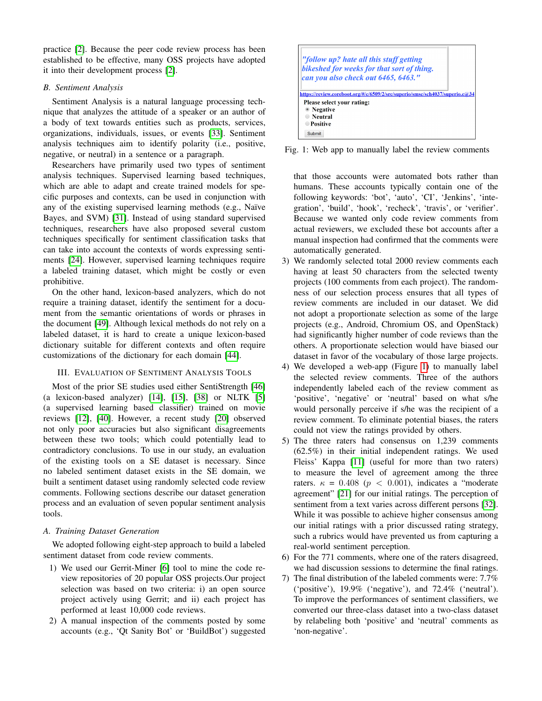practice [\[2\]](#page-4-3). Because the peer code review process has been established to be effective, many OSS projects have adopted it into their development process [\[2\]](#page-4-3).

# *B. Sentiment Analysis*

Sentiment Analysis is a natural language processing technique that analyzes the attitude of a speaker or an author of a body of text towards entities such as products, services, organizations, individuals, issues, or events [\[33\]](#page-5-11). Sentiment analysis techniques aim to identify polarity (i.e., positive, negative, or neutral) in a sentence or a paragraph.

Researchers have primarily used two types of sentiment analysis techniques. Supervised learning based techniques, which are able to adapt and create trained models for specific purposes and contexts, can be used in conjunction with any of the existing supervised learning methods (e.g., Naïve Bayes, and SVM) [\[31\]](#page-5-12). Instead of using standard supervised techniques, researchers have also proposed several custom techniques specifically for sentiment classification tasks that can take into account the contexts of words expressing sentiments [\[24\]](#page-5-0). However, supervised learning techniques require a labeled training dataset, which might be costly or even prohibitive.

On the other hand, lexicon-based analyzers, which do not require a training dataset, identify the sentiment for a document from the semantic orientations of words or phrases in the document [\[49\]](#page-5-13). Although lexical methods do not rely on a labeled dataset, it is hard to create a unique lexicon-based dictionary suitable for different contexts and often require customizations of the dictionary for each domain [\[44\]](#page-5-14).

# <span id="page-1-0"></span>III. EVALUATION OF SENTIMENT ANALYSIS TOOLS

Most of the prior SE studies used either SentiStrength [\[46\]](#page-5-15) (a lexicon-based analyzer) [\[14\]](#page-5-2), [\[15\]](#page-5-6), [\[38\]](#page-5-16) or NLTK [\[5\]](#page-4-4) (a supervised learning based classifier) trained on movie reviews [\[12\]](#page-5-17), [\[40\]](#page-5-18). However, a recent study [\[20\]](#page-5-8) observed not only poor accuracies but also significant disagreements between these two tools; which could potentially lead to contradictory conclusions. To use in our study, an evaluation of the existing tools on a SE dataset is necessary. Since no labeled sentiment dataset exists in the SE domain, we built a sentiment dataset using randomly selected code review comments. Following sections describe our dataset generation process and an evaluation of seven popular sentiment analysis tools.

# *A. Training Dataset Generation*

We adopted following eight-step approach to build a labeled sentiment dataset from code review comments.

- 1) We used our Gerrit-Miner [\[6\]](#page-4-2) tool to mine the code review repositories of 20 popular OSS projects.Our project selection was based on two criteria: i) an open source project actively using Gerrit; and ii) each project has performed at least 10,000 code reviews.
- 2) A manual inspection of the comments posted by some accounts (e.g., 'Qt Sanity Bot' or 'BuildBot') suggested

<span id="page-1-1"></span>

Fig. 1: Web app to manually label the review comments

that those accounts were automated bots rather than humans. These accounts typically contain one of the following keywords: 'bot', 'auto', 'CI', 'Jenkins', 'integration', 'build', 'hook', 'recheck', 'travis', or 'verifier'. Because we wanted only code review comments from actual reviewers, we excluded these bot accounts after a manual inspection had confirmed that the comments were automatically generated.

- 3) We randomly selected total 2000 review comments each having at least 50 characters from the selected twenty projects (100 comments from each project). The randomness of our selection process ensures that all types of review comments are included in our dataset. We did not adopt a proportionate selection as some of the large projects (e.g., Android, Chromium OS, and OpenStack) had significantly higher number of code reviews than the others. A proportionate selection would have biased our dataset in favor of the vocabulary of those large projects.
- 4) We developed a web-app (Figure [1\)](#page-1-1) to manually label the selected review comments. Three of the authors independently labeled each of the review comment as 'positive', 'negative' or 'neutral' based on what s/he would personally perceive if s/he was the recipient of a review comment. To eliminate potential biases, the raters could not view the ratings provided by others.
- 5) The three raters had consensus on 1,239 comments (62.5%) in their initial independent ratings. We used Fleiss' Kappa [\[11\]](#page-5-19) (useful for more than two raters) to measure the level of agreement among the three raters.  $\kappa = 0.408$  ( $p < 0.001$ ), indicates a "moderate" agreement" [\[21\]](#page-5-20) for our initial ratings. The perception of sentiment from a text varies across different persons [\[32\]](#page-5-21). While it was possible to achieve higher consensus among our initial ratings with a prior discussed rating strategy, such a rubrics would have prevented us from capturing a real-world sentiment perception.
- 6) For the 771 comments, where one of the raters disagreed, we had discussion sessions to determine the final ratings.
- 7) The final distribution of the labeled comments were: 7.7% ('positive'), 19.9% ('negative'), and 72.4% ('neutral'). To improve the performances of sentiment classifiers, we converted our three-class dataset into a two-class dataset by relabeling both 'positive' and 'neutral' comments as 'non-negative'.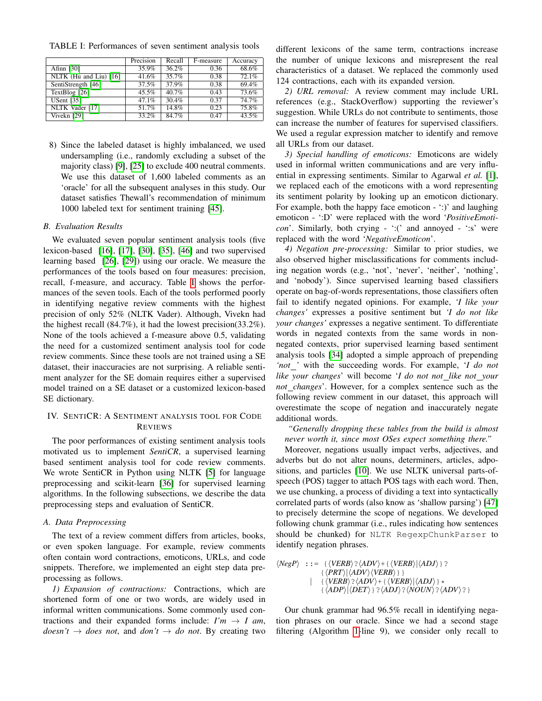<span id="page-2-0"></span>TABLE I: Performances of seven sentiment analysis tools

|                        | Precision | Recall | F-measure | Accuracy |
|------------------------|-----------|--------|-----------|----------|
| Afinn $[30]$           | 35.9%     | 36.2%  | 0.36      | 68.6%    |
| NLTK (Hu and Liu) [16] | 41.6%     | 35.7%  | 0.38      | 72.1%    |
| SentiStrength [46]     | 37.5%     | 37.9%  | 0.38      | 69.4%    |
| TextBlog [26]          | $45.5\%$  | 40.7%  | 0.43      | 73.6%    |
| <b>USent</b> [35]      | 47.1%     | 30.4%  | 0.37      | 74.7%    |
| NLTK Vader [17]        | 51.7%     | 14.8%  | 0.23      | 75.8%    |
| Vivekn [29]            | 33.2%     | 84.7%  | 0.47      | 43.5%    |

8) Since the labeled dataset is highly imbalanced, we used undersampling (i.e., randomly excluding a subset of the majority class) [\[9\]](#page-5-28), [\[25\]](#page-5-29) to exclude 400 neutral comments. We use this dataset of 1,600 labeled comments as an 'oracle' for all the subsequent analyses in this study. Our dataset satisfies Thewall's recommendation of minimum 1000 labeled text for sentiment training [\[45\]](#page-5-30).

#### *B. Evaluation Results*

We evaluated seven popular sentiment analysis tools (five lexicon-based [\[16\]](#page-5-23), [\[17\]](#page-5-26), [\[30\]](#page-5-22), [\[35\]](#page-5-25), [\[46\]](#page-5-15) and two supervised learning based [\[26\]](#page-5-24), [\[29\]](#page-5-27)) using our oracle. We measure the performances of the tools based on four measures: precision, recall, f-measure, and accuracy. Table [I](#page-2-0) shows the performances of the seven tools. Each of the tools performed poorly in identifying negative review comments with the highest precision of only 52% (NLTK Vader). Although, Vivekn had the highest recall (84.7%), it had the lowest precision(33.2%). None of the tools achieved a f-measure above 0.5, validating the need for a customized sentiment analysis tool for code review comments. Since these tools are not trained using a SE dataset, their inaccuracies are not surprising. A reliable sentiment analyzer for the SE domain requires either a supervised model trained on a SE dataset or a customized lexicon-based SE dictionary.

# IV. SENTICR: A SENTIMENT ANALYSIS TOOL FOR CODE **REVIEWS**

The poor performances of existing sentiment analysis tools motivated us to implement *SentiCR*, a supervised learning based sentiment analysis tool for code review comments. We wrote SentiCR in Python using NLTK [\[5\]](#page-4-4) for language preprocessing and scikit-learn [\[36\]](#page-5-31) for supervised learning algorithms. In the following subsections, we describe the data preprocessing steps and evaluation of SentiCR.

#### *A. Data Preprocessing*

The text of a review comment differs from articles, books, or even spoken language. For example, review comments often contain word contractions, emoticons, URLs, and code snippets. Therefore, we implemented an eight step data preprocessing as follows.

*1) Expansion of contractions:* Contractions, which are shortened form of one or two words, are widely used in informal written communications. Some commonly used contractions and their expanded forms include:  $I'm \rightarrow I$  am,  $doesn't \rightarrow does not, and don't \rightarrow do not. By creating two$ 

different lexicons of the same term, contractions increase the number of unique lexicons and misrepresent the real characteristics of a dataset. We replaced the commonly used 124 contractions, each with its expanded version.

*2) URL removal:* A review comment may include URL references (e.g., StackOverflow) supporting the reviewer's suggestion. While URLs do not contribute to sentiments, those can increase the number of features for supervised classifiers. We used a regular expression matcher to identify and remove all URLs from our dataset.

*3) Special handling of emoticons:* Emoticons are widely used in informal written communications and are very influential in expressing sentiments. Similar to Agarwal *et al.* [\[1\]](#page-4-5), we replaced each of the emoticons with a word representing its sentiment polarity by looking up an emoticon dictionary. For example, both the happy face emoticon - ':)' and laughing emoticon - ':D' were replaced with the word '*PositiveEmoticon*'. Similarly, both crying - ':(' and annoyed - ':s' were replaced with the word '*NegativeEmoticon*'.

*4) Negation pre-processing:* Similar to prior studies, we also observed higher misclassifications for comments including negation words (e.g., 'not', 'never', 'neither', 'nothing', and 'nobody'). Since supervised learning based classifiers operate on bag-of-words representations, those classifiers often fail to identify negated opinions. For example, *'I like your changes'* expresses a positive sentiment but *'I do not like your changes'* expresses a negative sentiment. To differentiate words in negated contexts from the same words in nonnegated contexts, prior supervised learning based sentiment analysis tools [\[34\]](#page-5-32) adopted a simple approach of prepending *'not '* with the succeeding words. For example, '*I do not like your changes*' will become '*I do not not like not your not changes*'. However, for a complex sentence such as the following review comment in our dataset, this approach will overestimate the scope of negation and inaccurately negate additional words.

*"Generally dropping these tables from the build is almost never worth it, since most OSes expect something there."*

Moreover, negations usually impact verbs, adjectives, and adverbs but do not alter nouns, determiners, articles, adpositions, and particles [\[10\]](#page-5-33). We use NLTK universal parts-ofspeech (POS) tagger to attach POS tags with each word. Then, we use chunking, a process of dividing a text into syntactically correlated parts of words (also know as 'shallow parsing') [\[47\]](#page-5-34) to precisely determine the scope of negations. We developed following chunk grammar (i.e., rules indicating how sentences should be chunked) for NLTK RegexpChunkParser to identify negation phrases.

$$
\langle NegP \rangle ::= \{ \langle VERB \rangle ? \langle ADV \rangle + \{ \langle VERB \rangle | \langle ADJ \rangle \} ?
$$
  
 
$$
\{ \langle PRT \rangle | \langle ADV \rangle \langle VERB \rangle \} \}
$$
  
 
$$
+ \{ \langle VERB \rangle ? \langle ADV \rangle + \{ \langle VERB \rangle | \langle ADJ \rangle \} *
$$
  
 
$$
\{ \langle ADP \rangle | \langle DET \rangle \} ? \langle ADJ \rangle ? \langle NOUN \rangle ? \langle ADV \rangle ? \}
$$

Our chunk grammar had 96.5% recall in identifying negation phrases on our oracle. Since we had a second stage filtering (Algorithm [1-](#page-3-0)line 9), we consider only recall to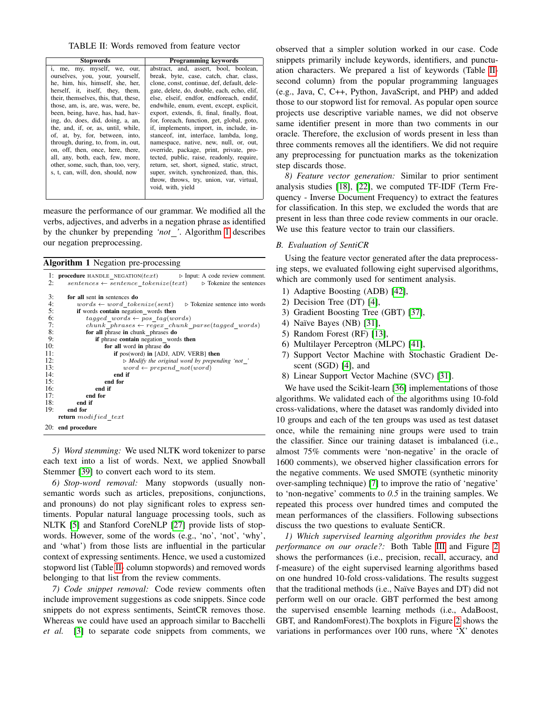TABLE II: Words removed from feature vector

<span id="page-3-1"></span>

| <b>Programming keywords</b>                 |  |  |  |  |
|---------------------------------------------|--|--|--|--|
| abstract, and, assert, bool, boolean,       |  |  |  |  |
| break, byte, case, catch, char, class,      |  |  |  |  |
| clone, const, continue, def, default, dele- |  |  |  |  |
| gate, delete, do, double, each, echo, elif, |  |  |  |  |
| else, elseif, endfor, endforeach, endif,    |  |  |  |  |
| endwhile, enum, event, except, explicit,    |  |  |  |  |
| export, extends, fi, final, finally, float, |  |  |  |  |
| for, foreach, function, get, global, goto,  |  |  |  |  |
| if, implements, import, in, include, in-    |  |  |  |  |
| stanceof, int, interface, lambda, long,     |  |  |  |  |
| namespace, native, new, null, or, out,      |  |  |  |  |
| override, package, print, private, pro-     |  |  |  |  |
| tected, public, raise, readonly, require,   |  |  |  |  |
| return, set, short, signed, static, struct, |  |  |  |  |
| super, switch, synchronized, than, this,    |  |  |  |  |
| throw, throws, try, union, var, virtual,    |  |  |  |  |
| void, with, yield                           |  |  |  |  |
|                                             |  |  |  |  |

measure the performance of our grammar. We modified all the verbs, adjectives, and adverbs in a negation phrase as identified by the chunker by prepending *'not '*. Algorithm [1](#page-3-0) describes our negation preprocessing.

<span id="page-3-0"></span>Algorithm 1 Negation pre-processing

| 1:  | <b>procedure</b> HANDLE NEGATION( $text$ ) $\triangleright$ Input: A code review comment. |  |  |  |  |  |  |
|-----|-------------------------------------------------------------------------------------------|--|--|--|--|--|--|
| 2:  | sentences $\leftarrow$ sentence tokenize(text) $\rightarrow$ Tokenize the sentences       |  |  |  |  |  |  |
|     |                                                                                           |  |  |  |  |  |  |
| 3:  | for all sent in sentences do                                                              |  |  |  |  |  |  |
| 4:  | $words \leftarrow word \; tokenize(sent)$ $\rightarrow$ Tokenize sentence into words      |  |  |  |  |  |  |
| 5:  | if words contain negation words then                                                      |  |  |  |  |  |  |
| 6:  | $tagged \ words \leftarrow pos \ tag(words)$                                              |  |  |  |  |  |  |
| 7:  | chunk phrases $\leftarrow$ regex chunk parse(tagged words)                                |  |  |  |  |  |  |
| 8:  | for all phrase in chunk phrases do                                                        |  |  |  |  |  |  |
| 9:  | if phrase contain negation words then                                                     |  |  |  |  |  |  |
| 10: | for all word in phrase do                                                                 |  |  |  |  |  |  |
| 11: | if pos(word) in [ADJ, ADV, VERB] then                                                     |  |  |  |  |  |  |
| 12: | $\triangleright$ Modify the original word by prepending 'not'                             |  |  |  |  |  |  |
| 13: | $word \leftarrow prepend \; not(word)$                                                    |  |  |  |  |  |  |
| 14: | end if                                                                                    |  |  |  |  |  |  |
| 15: | end for                                                                                   |  |  |  |  |  |  |
| 16: | end if                                                                                    |  |  |  |  |  |  |
| 17: | end for                                                                                   |  |  |  |  |  |  |
| 18: | end if                                                                                    |  |  |  |  |  |  |
| 19: | end for                                                                                   |  |  |  |  |  |  |
|     | <b>return</b> modified text                                                               |  |  |  |  |  |  |
|     | 20: end procedure                                                                         |  |  |  |  |  |  |

*5) Word stemming:* We used NLTK word tokenizer to parse each text into a list of words. Next, we applied Snowball Stemmer [\[39\]](#page-5-35) to convert each word to its stem.

*6) Stop-word removal:* Many stopwords (usually nonsemantic words such as articles, prepositions, conjunctions, and pronouns) do not play significant roles to express sentiments. Popular natural language processing tools, such as NLTK [\[5\]](#page-4-4) and Stanford CoreNLP [\[27\]](#page-5-36) provide lists of stopwords. However, some of the words (e.g., 'no', 'not', 'why', and 'what') from those lists are influential in the particular context of expressing sentiments. Hence, we used a customized stopword list (Table [II-](#page-3-1) column stopwords) and removed words belonging to that list from the review comments.

*7) Code snippet removal:* Code review comments often include improvement suggestions as code snippets. Since code snippets do not express sentiments, SeintCR removes those. Whereas we could have used an approach similar to Bacchelli *et al.* [\[3\]](#page-4-6) to separate code snippets from comments, we

observed that a simpler solution worked in our case. Code snippets primarily include keywords, identifiers, and punctuation characters. We prepared a list of keywords (Table [II](#page-3-1)second column) from the popular programming languages (e.g., Java, C, C++, Python, JavaScript, and PHP) and added those to our stopword list for removal. As popular open source projects use descriptive variable names, we did not observe same identifier present in more than two comments in our oracle. Therefore, the exclusion of words present in less than three comments removes all the identifiers. We did not require any preprocessing for punctuation marks as the tokenization step discards those.

*8) Feature vector generation:* Similar to prior sentiment analysis studies [\[18\]](#page-5-37), [\[22\]](#page-5-38), we computed TF-IDF (Term Frequency - Inverse Document Frequency) to extract the features for classification. In this step, we excluded the words that are present in less than three code review comments in our oracle. We use this feature vector to train our classifiers.

#### *B. Evaluation of SentiCR*

Using the feature vector generated after the data preprocessing steps, we evaluated following eight supervised algorithms, which are commonly used for sentiment analysis.

- 1) Adaptive Boosting (ADB) [\[42\]](#page-5-39),
- 2) Decision Tree (DT) [\[4\]](#page-4-7),
- 3) Gradient Boosting Tree (GBT) [\[37\]](#page-5-10),
- 4) Naïve Bayes (NB) [\[31\]](#page-5-12),
- 5) Random Forest (RF) [\[13\]](#page-5-40),
- 6) Multilayer Perceptron (MLPC) [\[41\]](#page-5-41),
- 7) Support Vector Machine with Stochastic Gradient Descent (SGD) [\[4\]](#page-4-7), and
- 8) Linear Support Vector Machine (SVC) [\[31\]](#page-5-12).

We have used the Scikit-learn [\[36\]](#page-5-31) implementations of those algorithms. We validated each of the algorithms using 10-fold cross-validations, where the dataset was randomly divided into 10 groups and each of the ten groups was used as test dataset once, while the remaining nine groups were used to train the classifier. Since our training dataset is imbalanced (i.e., almost 75% comments were 'non-negative' in the oracle of 1600 comments), we observed higher classification errors for the negative comments. We used SMOTE (synthetic minority over-sampling technique) [\[7\]](#page-5-42) to improve the ratio of 'negative' to 'non-negative' comments to *0.5* in the training samples. We repeated this process over hundred times and computed the mean performances of the classifiers. Following subsections discuss the two questions to evaluate SentiCR.

*1) Which supervised learning algorithm provides the best performance on our oracle?:* Both Table [III](#page-4-8) and Figure [2](#page-4-9) shows the performances (i.e., precision, recall, accuracy, and f-measure) of the eight supervised learning algorithms based on one hundred 10-fold cross-validations. The results suggest that the traditional methods (i.e., Naïve Bayes and DT) did not perform well on our oracle. GBT performed the best among the supervised ensemble learning methods (i.e., AdaBoost, GBT, and RandomForest).The boxplots in Figure [2](#page-4-9) shows the variations in performances over 100 runs, where 'X' denotes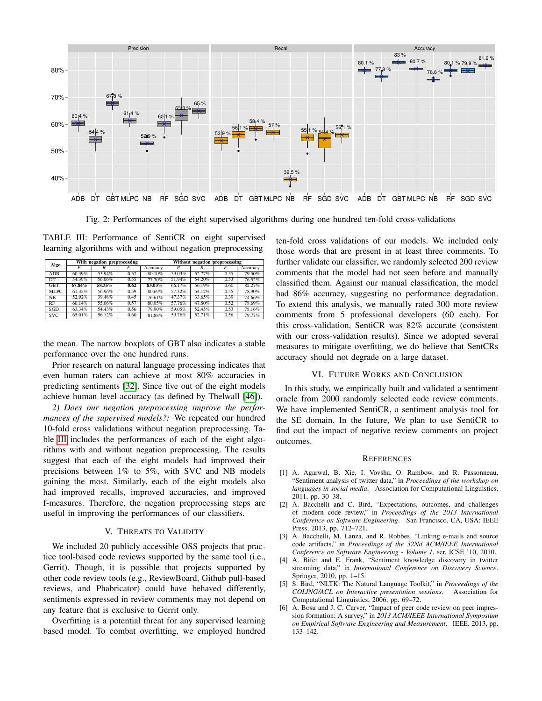<span id="page-4-9"></span>

Fig. 2: Performances of the eight supervised algorithms during one hundred ten-fold cross-validations

<span id="page-4-8"></span>TABLE III: Performance of SentiCR on eight supervised learning algorithms with and without negation preprocessing

| Algo.       | With negation preprocessing |        |      | Without negation preprocessing |        |        |      |          |
|-------------|-----------------------------|--------|------|--------------------------------|--------|--------|------|----------|
|             |                             | R      |      | Accuracy                       |        | R      |      | Accuracy |
| ADB         | 60.39%                      | 53.94% | 0.57 | 80.10%                         | 59.03% | 52.77% | 0.55 | 79.50%   |
| DT          | 54.39%                      | 56.06% | 0.55 | 77.70%                         | 51.94% | 54.20% | 0.53 | 76.52%   |
| <b>GBT</b>  | 67.84%                      | 58.35% | 0.62 | 83.03%                         | 66.17% | 56.19% | 0.60 | 82.27%   |
| <b>MLPC</b> | 61.35%                      | 56.96% | 0.59 | 80.69%                         | 57.32% | 54.12% | 0.55 | 78.90%   |
| NB          | 52.92%                      | 39.48% | 0.45 | 76.61%                         | 47.37% | 33.65% | 0.39 | 74.66%   |
| RF          | 60.14%                      | 55.06% | 0.57 | 80.05%                         | 57.76% | 47.80% | 0.52 | 78.69%   |
| SGD         | 63.34%                      | 54.43% | 0.56 | 79.90%                         | 59.05% | 52.45% | 0.53 | 78.16%   |
| <b>SVC</b>  | 65.01%                      | 56.12% | 0.60 | 81.88%                         | 59.76% | 52.71% | 0.56 | 79.77%   |

the mean. The narrow boxplots of GBT also indicates a stable performance over the one hundred runs.

Prior research on natural language processing indicates that even human raters can achieve at most 80% accuracies in predicting sentiments [\[32\]](#page-5-21). Since five out of the eight models achieve human level accuracy (as defined by Thelwall [\[46\]](#page-5-15)).

*2) Does our negation preprocessing improve the performances of the supervised models?:* We repeated our hundred 10-fold cross validations without negation preprocessing. Table [III](#page-4-8) includes the performances of each of the eight algorithms with and without negation preprocessing. The results suggest that each of the eight models had improved their precisions between 1% to 5%, with SVC and NB models gaining the most. Similarly, each of the eight models also had improved recalls, improved accuracies, and improved f-measures. Therefore, the negation preprocessing steps are useful in improving the performances of our classifiers.

## V. THREATS TO VALIDITY

<span id="page-4-0"></span>We included 20 publicly accessible OSS projects that practice tool-based code reviews supported by the same tool (i.e., Gerrit). Though, it is possible that projects supported by other code review tools (e.g., ReviewBoard, Github pull-based reviews, and Phabricator) could have behaved differently, sentiments expressed in review comments may not depend on any feature that is exclusive to Gerrit only.

Overfitting is a potential threat for any supervised learning based model. To combat overfitting, we employed hundred ten-fold cross validations of our models. We included only those words that are present in at least three comments. To further validate our classifier, we randomly selected 200 review comments that the model had not seen before and manually classified them. Against our manual classification, the model had 86% accuracy, suggesting no performance degradation. To extend this analysis, we manually rated 300 more review comments from 5 professional developers (60 each). For this cross-validation, SentiCR was 82% accurate (consistent with our cross-validation results). Since we adopted several measures to mitigate overfitting, we do believe that SentCRs accuracy should not degrade on a large dataset.

## VI. FUTURE WORKS AND CONCLUSION

<span id="page-4-1"></span>In this study, we empirically built and validated a sentiment oracle from 2000 randomly selected code review comments. We have implemented SentiCR, a sentiment analysis tool for the SE domain. In the future, We plan to use SentiCR to find out the impact of negative review comments on project outcomes.

#### **REFERENCES**

- <span id="page-4-5"></span>[1] A. Agarwal, B. Xie, I. Vovsha, O. Rambow, and R. Passonneau, "Sentiment analysis of twitter data," in *Proceedings of the workshop on languages in social media*. Association for Computational Linguistics, 2011, pp. 30–38.
- <span id="page-4-3"></span>[2] A. Bacchelli and C. Bird, "Expectations, outcomes, and challenges of modern code review," in *Proceedings of the 2013 International Conference on Software Engineering*. San Francisco, CA, USA: IEEE Press, 2013, pp. 712–721.
- <span id="page-4-6"></span>[3] A. Bacchelli, M. Lanza, and R. Robbes, "Linking e-mails and source code artifacts," in *Proceedings of the 32Nd ACM/IEEE International Conference on Software Engineering - Volume 1*, ser. ICSE '10, 2010.
- <span id="page-4-7"></span>[4] A. Bifet and E. Frank, "Sentiment knowledge discovery in twitter streaming data," in *International Conference on Discovery Science*. Springer, 2010, pp. 1–15.
- <span id="page-4-4"></span>[5] S. Bird, "NLTK: The Natural Language Toolkit," in *Proceedings of the COLING/ACL on Interactive presentation sessions*. Association for Computational Linguistics, 2006, pp. 69–72.
- <span id="page-4-2"></span>[6] A. Bosu and J. C. Carver, "Impact of peer code review on peer impression formation: A survey," in *2013 ACM/IEEE International Symposium on Empirical Software Engineering and Measurement*. IEEE, 2013, pp. 133–142.